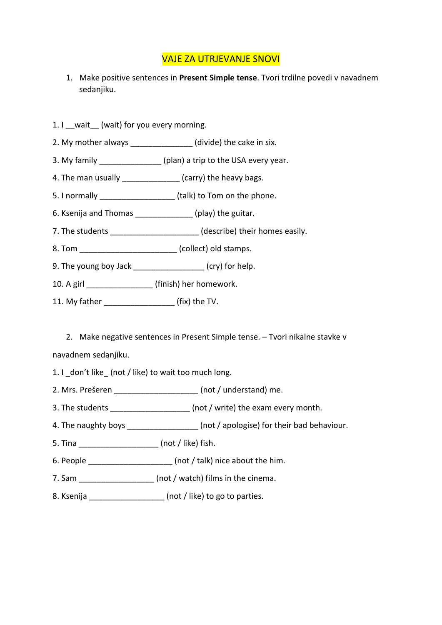## VAJE ZA UTRJEVANJE SNOVI

- 1. Make positive sentences in **Present Simple tense**. Tvori trdilne povedi v navadnem sedanjiku.
- 1. I wait (wait) for you every morning.
- 2. My mother always exactled the cake in six.
- 3. My family \_\_\_\_\_\_\_\_\_\_\_\_\_\_\_\_ (plan) a trip to the USA every year.
- 4. The man usually \_\_\_\_\_\_\_\_\_\_\_\_\_\_\_(carry) the heavy bags.
- 5. I normally \_\_\_\_\_\_\_\_\_\_\_\_\_\_\_\_\_\_\_\_\_\_ (talk) to Tom on the phone.
- 6. Ksenija and Thomas [19] (play) the guitar.
- 7. The students  $(describe)$  their homes easily.
- 8. Tom \_\_\_\_\_\_\_\_\_\_\_\_\_\_\_\_\_\_\_\_\_\_\_(collect) old stamps.
- 9. The young boy Jack \_\_\_\_\_\_\_\_\_\_\_\_\_\_\_\_\_\_ (cry) for help.
- 10. A girl \_\_\_\_\_\_\_\_\_\_\_\_\_\_\_ (finish) her homework.
- 11. My father \_\_\_\_\_\_\_\_\_\_\_\_\_\_\_\_ (fix) the TV.

2. Make negative sentences in Present Simple tense. – Tvori nikalne stavke v navadnem sedanjiku.

- 1. I don't like (not / like) to wait too much long.
- 2. Mrs. Prešeren \_\_\_\_\_\_\_\_\_\_\_\_\_\_\_\_\_\_\_ (not / understand) me.
- 3. The students \_\_\_\_\_\_\_\_\_\_\_\_\_\_\_\_\_\_\_\_\_ (not / write) the exam every month.
- 4. The naughty boys  $($ not / apologise) for their bad behaviour.
- 5. Tina \_\_\_\_\_\_\_\_\_\_\_\_\_\_\_\_\_\_ (not / like) fish.
- 6. People \_\_\_\_\_\_\_\_\_\_\_\_\_\_\_\_\_\_\_ (not / talk) nice about the him.
- 7. Sam \_\_\_\_\_\_\_\_\_\_\_\_\_\_\_\_\_\_\_\_\_ (not / watch) films in the cinema.
- 8. Ksenija **and in the senitive of the CO** is known to know (not / like) to go to parties.